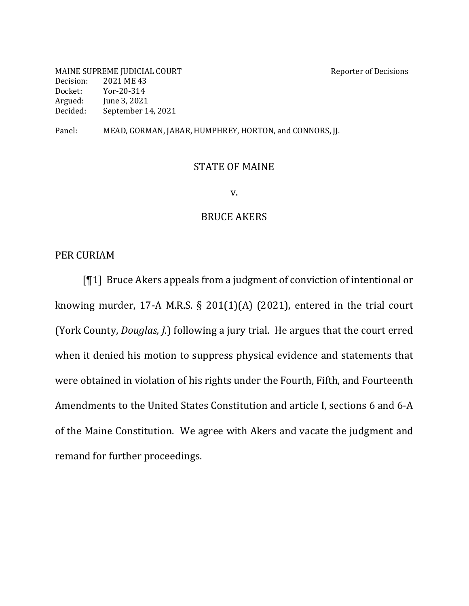MAINE SUPREME JUDICIAL COURT SERVICE OF DECISIONS Decision: 2021 ME 43 Docket: Yor-20-314 Argued: June 3, 2021 Decided: September 14, 2021

Panel: MEAD, GORMAN, JABAR, HUMPHREY, HORTON, and CONNORS, JJ.

#### **STATE OF MAINE**

v.

## **BRUCE AKERS**

PER CURIAM

 $[T1]$  Bruce Akers appeals from a judgment of conviction of intentional or knowing murder, 17-A M.R.S.  $\S$  201(1)(A) (2021), entered in the trial court (York County, *Douglas, J.*) following a jury trial. He argues that the court erred when it denied his motion to suppress physical evidence and statements that were obtained in violation of his rights under the Fourth, Fifth, and Fourteenth Amendments to the United States Constitution and article I, sections 6 and 6-A of the Maine Constitution. We agree with Akers and vacate the judgment and remand for further proceedings.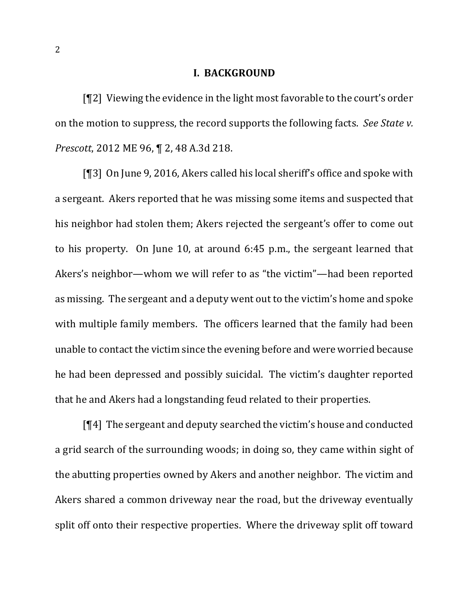## **I. BACKGROUND**

 $[92]$  Viewing the evidence in the light most favorable to the court's order on the motion to suppress, the record supports the following facts. See State v. *Prescott*, 2012 ME 96, ¶ 2, 48 A.3d 218.

 $[$ [[3] On June 9, 2016, Akers called his local sheriff's office and spoke with a sergeant. Akers reported that he was missing some items and suspected that his neighbor had stolen them; Akers rejected the sergeant's offer to come out to his property. On June 10, at around  $6:45$  p.m., the sergeant learned that Akers's neighbor—whom we will refer to as "the victim"—had been reported as missing. The sergeant and a deputy went out to the victim's home and spoke with multiple family members. The officers learned that the family had been unable to contact the victim since the evening before and were worried because he had been depressed and possibly suicidal. The victim's daughter reported that he and Akers had a longstanding feud related to their properties.

 $\P[4]$  The sergeant and deputy searched the victim's house and conducted a grid search of the surrounding woods; in doing so, they came within sight of the abutting properties owned by Akers and another neighbor. The victim and Akers shared a common driveway near the road, but the driveway eventually split off onto their respective properties. Where the driveway split off toward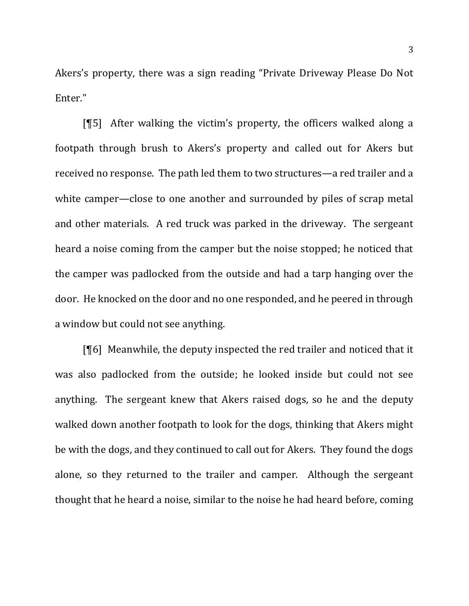Akers's property, there was a sign reading "Private Driveway Please Do Not Enter."

[ $\llbracket 5$ ] After walking the victim's property, the officers walked along a footpath through brush to Akers's property and called out for Akers but received no response. The path led them to two structures—a red trailer and a white camper—close to one another and surrounded by piles of scrap metal and other materials. A red truck was parked in the driveway. The sergeant heard a noise coming from the camper but the noise stopped; he noticed that the camper was padlocked from the outside and had a tarp hanging over the door. He knocked on the door and no one responded, and he peered in through a window but could not see anything.

 $[$ [6] Meanwhile, the deputy inspected the red trailer and noticed that it was also padlocked from the outside; he looked inside but could not see anything. The sergeant knew that Akers raised dogs, so he and the deputy walked down another footpath to look for the dogs, thinking that Akers might be with the dogs, and they continued to call out for Akers. They found the dogs alone, so they returned to the trailer and camper. Although the sergeant thought that he heard a noise, similar to the noise he had heard before, coming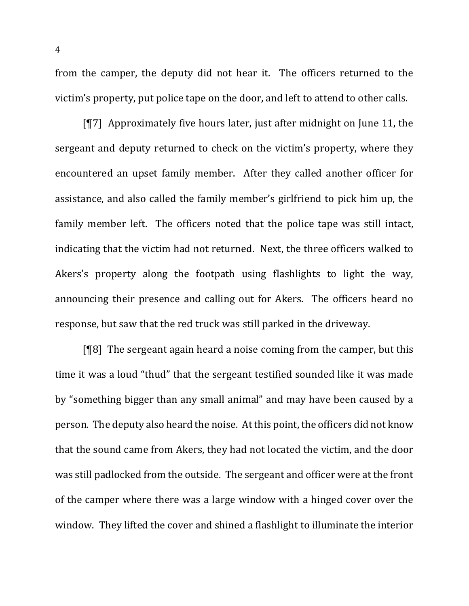from the camper, the deputy did not hear it. The officers returned to the victim's property, put police tape on the door, and left to attend to other calls.

[ $\llbracket$ ] Approximately five hours later, just after midnight on June 11, the sergeant and deputy returned to check on the victim's property, where they encountered an upset family member. After they called another officer for assistance, and also called the family member's girlfriend to pick him up, the family member left. The officers noted that the police tape was still intact, indicating that the victim had not returned. Next, the three officers walked to Akers's property along the footpath using flashlights to light the way, announcing their presence and calling out for Akers. The officers heard no response, but saw that the red truck was still parked in the driveway.

 $[$ <del>[</del>[8] The sergeant again heard a noise coming from the camper, but this time it was a loud "thud" that the sergeant testified sounded like it was made by "something bigger than any small animal" and may have been caused by a person. The deputy also heard the noise. At this point, the officers did not know that the sound came from Akers, they had not located the victim, and the door was still padlocked from the outside. The sergeant and officer were at the front of the camper where there was a large window with a hinged cover over the window. They lifted the cover and shined a flashlight to illuminate the interior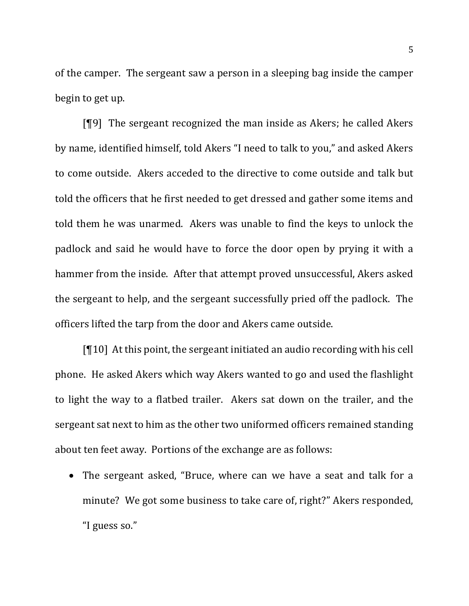of the camper. The sergeant saw a person in a sleeping bag inside the camper begin to get up.

[¶9] The sergeant recognized the man inside as Akers; he called Akers by name, identified himself, told Akers "I need to talk to you," and asked Akers to come outside. Akers acceded to the directive to come outside and talk but told the officers that he first needed to get dressed and gather some items and told them he was unarmed. Akers was unable to find the keys to unlock the padlock and said he would have to force the door open by prying it with a hammer from the inside. After that attempt proved unsuccessful, Akers asked the sergeant to help, and the sergeant successfully pried off the padlock. The officers lifted the tarp from the door and Akers came outside.

 $[\P 10]$  At this point, the sergeant initiated an audio recording with his cell phone. He asked Akers which way Akers wanted to go and used the flashlight to light the way to a flatbed trailer. Akers sat down on the trailer, and the sergeant sat next to him as the other two uniformed officers remained standing about ten feet away. Portions of the exchange are as follows:

• The sergeant asked, "Bruce, where can we have a seat and talk for a minute? We got some business to take care of, right?" Akers responded, "I guess so."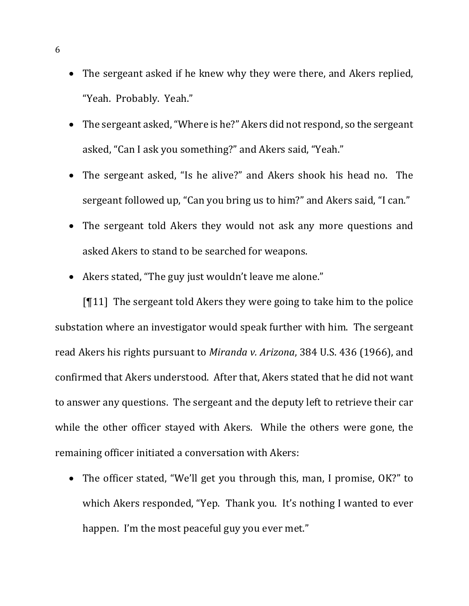- The sergeant asked if he knew why they were there, and Akers replied, "Yeah. Probably. Yeah."
- The sergeant asked, "Where is he?" Akers did not respond, so the sergeant asked, "Can I ask you something?" and Akers said, "Yeah."
- The sergeant asked, "Is he alive?" and Akers shook his head no. The sergeant followed up, "Can you bring us to him?" and Akers said, "I can."
- The sergeant told Akers they would not ask any more questions and asked Akers to stand to be searched for weapons.
- Akers stated, "The guy just wouldn't leave me alone."

 $[\P11]$  The sergeant told Akers they were going to take him to the police substation where an investigator would speak further with him. The sergeant read Akers his rights pursuant to *Miranda v. Arizona*, 384 U.S. 436 (1966), and confirmed that Akers understood. After that, Akers stated that he did not want to answer any questions. The sergeant and the deputy left to retrieve their car while the other officer stayed with Akers. While the others were gone, the remaining officer initiated a conversation with Akers:

• The officer stated, "We'll get you through this, man, I promise, OK?" to which Akers responded, "Yep. Thank you. It's nothing I wanted to ever happen. I'm the most peaceful guy you ever met."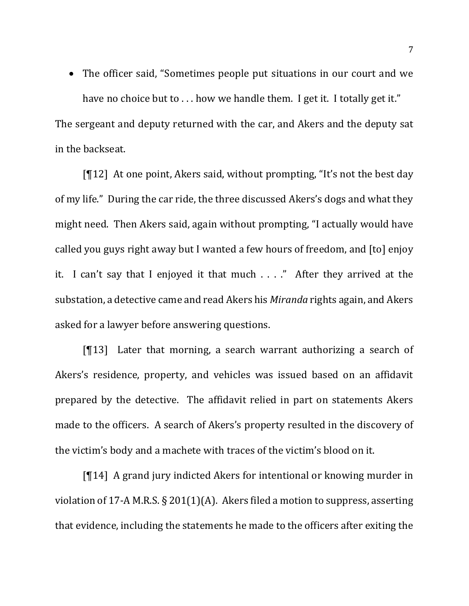• The officer said, "Sometimes people put situations in our court and we have no choice but to  $\dots$  how we handle them. I get it. I totally get it."

The sergeant and deputy returned with the car, and Akers and the deputy sat in the backseat.

 $[\P12]$  At one point, Akers said, without prompting, "It's not the best day of my life." During the car ride, the three discussed Akers's dogs and what they might need. Then Akers said, again without prompting, "I actually would have called you guys right away but I wanted a few hours of freedom, and [to] enjoy it. I can't say that I enjoyed it that much  $\dots$ ." After they arrived at the substation, a detective came and read Akers his *Miranda* rights again, and Akers asked for a lawyer before answering questions.

 $[T13]$  Later that morning, a search warrant authorizing a search of Akers's residence, property, and vehicles was issued based on an affidavit prepared by the detective. The affidavit relied in part on statements Akers made to the officers. A search of Akers's property resulted in the discovery of the victim's body and a machete with traces of the victim's blood on it.

 $[\P{14}]$  A grand jury indicted Akers for intentional or knowing murder in violation of 17-A M.R.S.  $\S 201(1)(A)$ . Akers filed a motion to suppress, asserting that evidence, including the statements he made to the officers after exiting the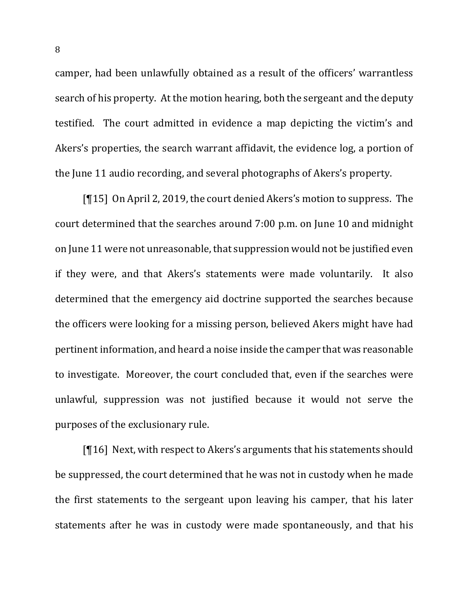camper, had been unlawfully obtained as a result of the officers' warrantless search of his property. At the motion hearing, both the sergeant and the deputy testified. The court admitted in evidence a map depicting the victim's and Akers's properties, the search warrant affidavit, the evidence log, a portion of the June 11 audio recording, and several photographs of Akers's property.

 $[15]$  On April 2, 2019, the court denied Akers's motion to suppress. The court determined that the searches around 7:00 p.m. on June 10 and midnight on June 11 were not unreasonable, that suppression would not be justified even if they were, and that Akers's statements were made voluntarily. It also determined that the emergency aid doctrine supported the searches because the officers were looking for a missing person, believed Akers might have had pertinent information, and heard a noise inside the camper that was reasonable to investigate. Moreover, the court concluded that, even if the searches were unlawful, suppression was not justified because it would not serve the purposes of the exclusionary rule.

[ $[16]$  Next, with respect to Akers's arguments that his statements should be suppressed, the court determined that he was not in custody when he made the first statements to the sergeant upon leaving his camper, that his later statements after he was in custody were made spontaneously, and that his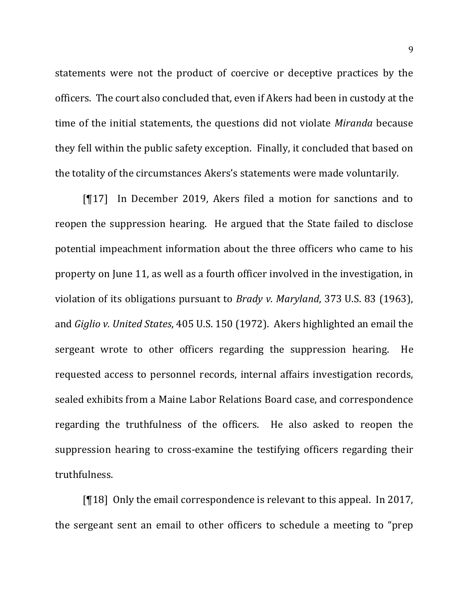statements were not the product of coercive or deceptive practices by the officers. The court also concluded that, even if Akers had been in custody at the time of the initial statements, the questions did not violate *Miranda* because they fell within the public safety exception. Finally, it concluded that based on the totality of the circumstances Akers's statements were made voluntarily.

 $[17]$  In December 2019, Akers filed a motion for sanctions and to reopen the suppression hearing. He argued that the State failed to disclose potential impeachment information about the three officers who came to his property on June 11, as well as a fourth officer involved in the investigation, in violation of its obligations pursuant to *Brady v. Maryland*, 373 U.S. 83 (1963), and *Giglio v. United States*, 405 U.S. 150 (1972). Akers highlighted an email the sergeant wrote to other officers regarding the suppression hearing. He requested access to personnel records, internal affairs investigation records, sealed exhibits from a Maine Labor Relations Board case, and correspondence regarding the truthfulness of the officers. He also asked to reopen the suppression hearing to cross-examine the testifying officers regarding their truthfulness.

 $[\P18]$  Only the email correspondence is relevant to this appeal. In 2017, the sergeant sent an email to other officers to schedule a meeting to "prep"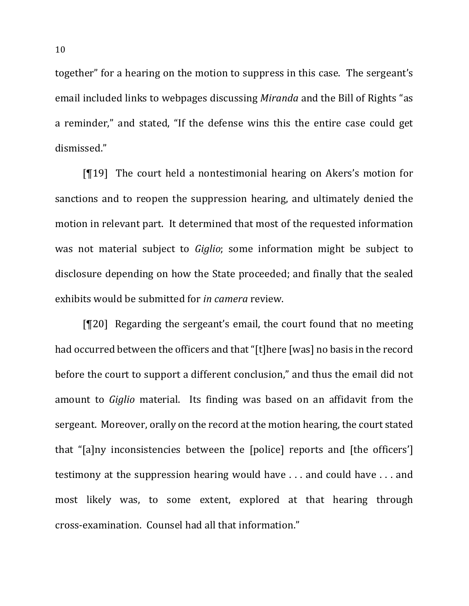together" for a hearing on the motion to suppress in this case. The sergeant's email included links to webpages discussing *Miranda* and the Bill of Rights "as a reminder," and stated, "If the defense wins this the entire case could get dismissed."

 $[T19]$  The court held a nontestimonial hearing on Akers's motion for sanctions and to reopen the suppression hearing, and ultimately denied the motion in relevant part. It determined that most of the requested information was not material subject to *Giglio*; some information might be subject to disclosure depending on how the State proceeded; and finally that the sealed exhibits would be submitted for *in camera* review.

 $[T20]$  Regarding the sergeant's email, the court found that no meeting had occurred between the officers and that "[t]here [was] no basis in the record before the court to support a different conclusion," and thus the email did not amount to *Giglio* material. Its finding was based on an affidavit from the sergeant. Moreover, orally on the record at the motion hearing, the court stated that "[a]ny inconsistencies between the [police] reports and [the officers'] testimony at the suppression hearing would have  $\dots$  and could have  $\dots$  and most likely was, to some extent, explored at that hearing through cross-examination. Counsel had all that information."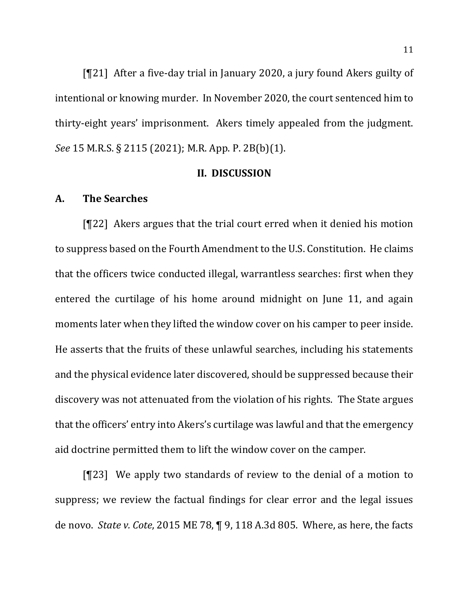$[T21]$  After a five-day trial in January 2020, a jury found Akers guilty of intentional or knowing murder. In November 2020, the court sentenced him to thirty-eight years' imprisonment. Akers timely appealed from the judgment. *See* 15 M.R.S. § 2115 (2021); M.R. App. P. 2B(b)(1).

# **II. DISCUSSION**

# **A. The Searches**

[¶22] Akers argues that the trial court erred when it denied his motion to suppress based on the Fourth Amendment to the U.S. Constitution. He claims that the officers twice conducted illegal, warrantless searches: first when they entered the curtilage of his home around midnight on June 11, and again moments later when they lifted the window cover on his camper to peer inside. He asserts that the fruits of these unlawful searches, including his statements and the physical evidence later discovered, should be suppressed because their discovery was not attenuated from the violation of his rights. The State argues that the officers' entry into Akers's curtilage was lawful and that the emergency aid doctrine permitted them to lift the window cover on the camper.

 $[T23]$  We apply two standards of review to the denial of a motion to suppress; we review the factual findings for clear error and the legal issues de novo. *State v. Cote*, 2015 ME 78, ¶ 9, 118 A.3d 805. Where, as here, the facts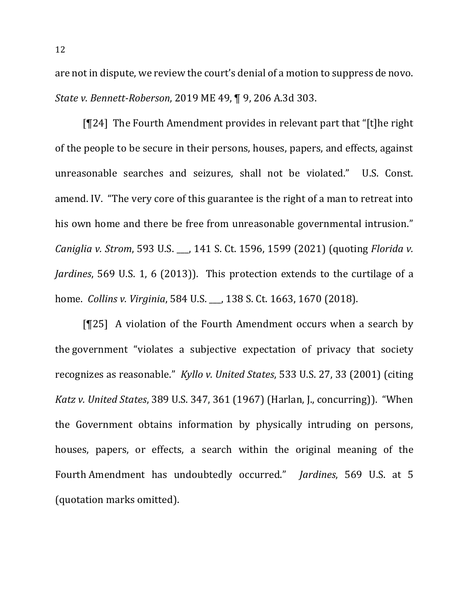are not in dispute, we review the court's denial of a motion to suppress de novo. *State v. Bennett-Roberson*, 2019 ME 49, ¶ 9, 206 A.3d 303.

[ $[124]$ ] The Fourth Amendment provides in relevant part that "[t]he right of the people to be secure in their persons, houses, papers, and effects, against unreasonable searches and seizures, shall not be violated." U.S. Const. amend. IV. "The very core of this guarantee is the right of a man to retreat into his own home and there be free from unreasonable governmental intrusion." *Caniglia v. Strom,* 593 U.S. \_\_, 141 S. Ct. 1596, 1599 (2021) (quoting *Florida v. Jardines*, 569 U.S. 1, 6 (2013)). This protection extends to the curtilage of a home. *Collins v. Virginia*, 584 U.S. \_\_, 138 S. Ct. 1663, 1670 (2018).

[ $[125]$ ] A violation of the Fourth Amendment occurs when a search by the government "violates a subjective expectation of privacy that society recognizes as reasonable." *Kyllo v. United States*, 533 U.S. 27, 33 (2001) (citing *Katz v. United States,* 389 U.S. 347, 361 (1967) (Harlan, J., concurring)). "When the Government obtains information by physically intruding on persons, houses, papers, or effects, a search within the original meaning of the Fourth Amendment has undoubtedly occurred." *Jardines*, 569 U.S. at 5 (quotation marks omitted).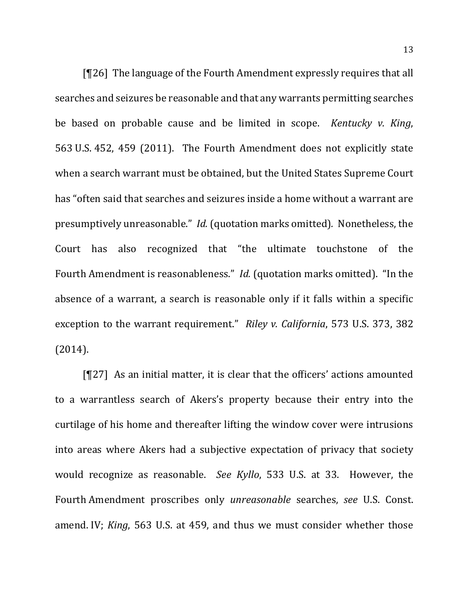$[T26]$  The language of the Fourth Amendment expressly requires that all searches and seizures be reasonable and that any warrants permitting searches be based on probable cause and be limited in scope. *Kentucky v. King*, 563 U.S. 452, 459 (2011). The Fourth Amendment does not explicitly state when a search warrant must be obtained, but the United States Supreme Court has "often said that searches and seizures inside a home without a warrant are presumptively unreasonable." *Id.* (quotation marks omitted). Nonetheless, the Court has also recognized that "the ultimate touchstone of the Fourth Amendment is reasonableness." *Id.* (quotation marks omitted). "In the absence of a warrant, a search is reasonable only if it falls within a specific exception to the warrant requirement." Riley v. California, 573 U.S. 373, 382 (2014).

 $[T27]$  As an initial matter, it is clear that the officers' actions amounted to a warrantless search of Akers's property because their entry into the curtilage of his home and thereafter lifting the window cover were intrusions into areas where Akers had a subjective expectation of privacy that society would recognize as reasonable. See Kyllo, 533 U.S. at 33. However, the Fourth Amendment proscribes only *unreasonable* searches, see U.S. Const. amend. IV; *King*, 563 U.S. at 459, and thus we must consider whether those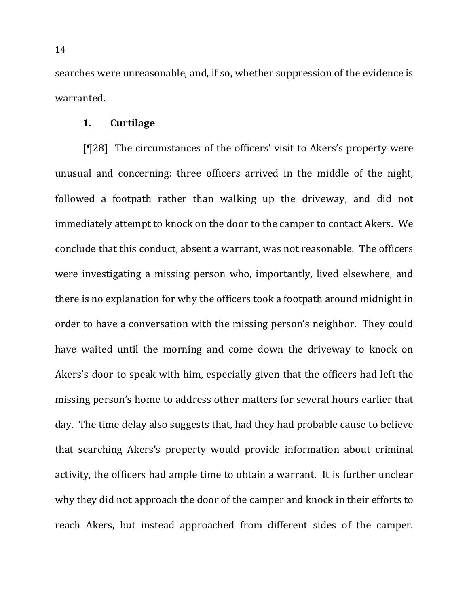searches were unreasonable, and, if so, whether suppression of the evidence is warranted.

## **1. Curtilage**

[¶28] The circumstances of the officers' visit to Akers's property were unusual and concerning: three officers arrived in the middle of the night, followed a footpath rather than walking up the driveway, and did not immediately attempt to knock on the door to the camper to contact Akers. We conclude that this conduct, absent a warrant, was not reasonable. The officers were investigating a missing person who, importantly, lived elsewhere, and there is no explanation for why the officers took a footpath around midnight in order to have a conversation with the missing person's neighbor. They could have waited until the morning and come down the driveway to knock on Akers's door to speak with him, especially given that the officers had left the missing person's home to address other matters for several hours earlier that day. The time delay also suggests that, had they had probable cause to believe that searching Akers's property would provide information about criminal activity, the officers had ample time to obtain a warrant. It is further unclear why they did not approach the door of the camper and knock in their efforts to reach Akers, but instead approached from different sides of the camper.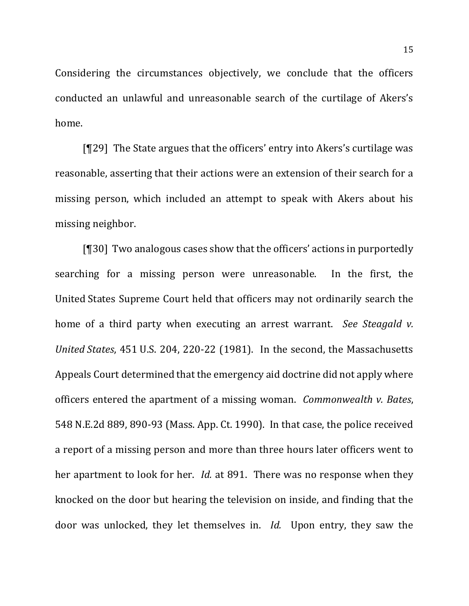Considering the circumstances objectively, we conclude that the officers conducted an unlawful and unreasonable search of the curtilage of Akers's home.

 $[T29]$  The State argues that the officers' entry into Akers's curtilage was reasonable, asserting that their actions were an extension of their search for a missing person, which included an attempt to speak with Akers about his missing neighbor.

 $[$ [ $]$ 30] Two analogous cases show that the officers' actions in purportedly searching for a missing person were unreasonable. In the first, the United States Supreme Court held that officers may not ordinarily search the home of a third party when executing an arrest warrant. See Steagald v. *United States*, 451 U.S. 204, 220-22 (1981). In the second, the Massachusetts Appeals Court determined that the emergency aid doctrine did not apply where officers entered the apartment of a missing woman. *Commonwealth v. Bates*, 548 N.E.2d 889, 890-93 (Mass. App. Ct. 1990). In that case, the police received a report of a missing person and more than three hours later officers went to her apartment to look for her. *Id.* at 891. There was no response when they knocked on the door but hearing the television on inside, and finding that the door was unlocked, they let themselves in. *Id.* Upon entry, they saw the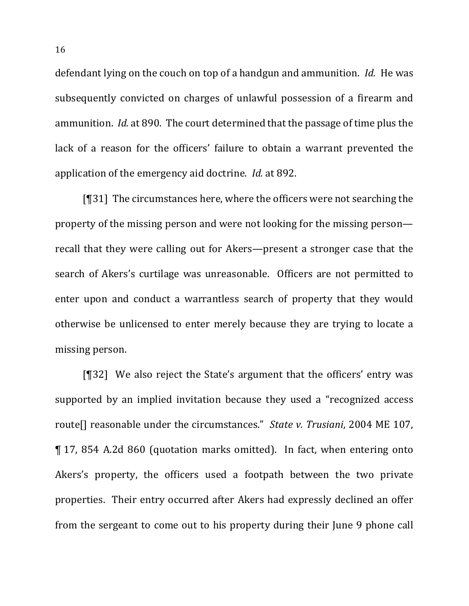defendant lying on the couch on top of a handgun and ammunition. *Id.* He was subsequently convicted on charges of unlawful possession of a firearm and ammunition. *Id.* at 890. The court determined that the passage of time plus the lack of a reason for the officers' failure to obtain a warrant prevented the application of the emergency aid doctrine. *Id.* at 892.

 $[931]$  The circumstances here, where the officers were not searching the property of the missing person and were not looking for the missing person recall that they were calling out for Akers—present a stronger case that the search of Akers's curtilage was unreasonable. Officers are not permitted to enter upon and conduct a warrantless search of property that they would otherwise be unlicensed to enter merely because they are trying to locate a missing person.

[¶32] We also reject the State's argument that the officers' entry was supported by an implied invitation because they used a "recognized access route[] reasonable under the circumstances." *State v. Trusiani*, 2004 ME 107, ¶ 17, 854 A.2d 860 (quotation marks omitted). In fact, when entering onto Akers's property, the officers used a footpath between the two private properties. Their entry occurred after Akers had expressly declined an offer from the sergeant to come out to his property during their June 9 phone call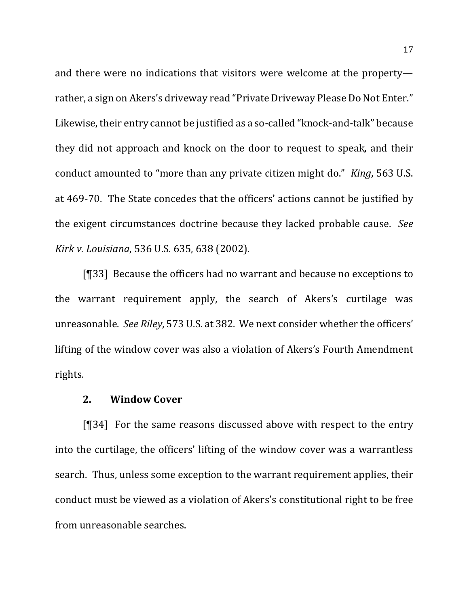and there were no indications that visitors were welcome at the property rather, a sign on Akers's driveway read "Private Driveway Please Do Not Enter." Likewise, their entry cannot be justified as a so-called "knock-and-talk" because they did not approach and knock on the door to request to speak, and their conduct amounted to "more than any private citizen might do." *King*, 563 U.S. at 469-70. The State concedes that the officers' actions cannot be justified by the exigent circumstances doctrine because they lacked probable cause. See *Kirk v. Louisiana*, 536 U.S. 635, 638 (2002).

[¶33] Because the officers had no warrant and because no exceptions to the warrant requirement apply, the search of Akers's curtilage was unreasonable. See Riley, 573 U.S. at 382. We next consider whether the officers' lifting of the window cover was also a violation of Akers's Fourth Amendment rights.

## **2. Window Cover**

 $[\mathcal{T}34]$  For the same reasons discussed above with respect to the entry into the curtilage, the officers' lifting of the window cover was a warrantless search. Thus, unless some exception to the warrant requirement applies, their conduct must be viewed as a violation of Akers's constitutional right to be free from unreasonable searches.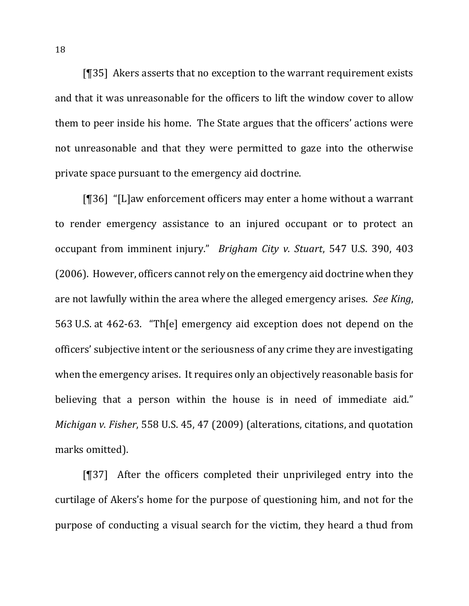[ $[$ ]35] Akers asserts that no exception to the warrant requirement exists and that it was unreasonable for the officers to lift the window cover to allow them to peer inside his home. The State argues that the officers' actions were not unreasonable and that they were permitted to gaze into the otherwise private space pursuant to the emergency aid doctrine.

 $[$ [1]36] "[L]aw enforcement officers may enter a home without a warrant to render emergency assistance to an injured occupant or to protect an occupant from imminent injury." *Brigham City v. Stuart*, 547 U.S. 390, 403 (2006). However, officers cannot rely on the emergency aid doctrine when they are not lawfully within the area where the alleged emergency arises. See King, 563 U.S. at 462-63. "The l emergency aid exception does not depend on the officers' subjective intent or the seriousness of any crime they are investigating when the emergency arises. It requires only an objectively reasonable basis for believing that a person within the house is in need of immediate aid." *Michigan v. Fisher,* 558 U.S. 45, 47 (2009) (alterations, citations, and quotation marks omitted).

 $[$ [[37] After the officers completed their unprivileged entry into the curtilage of Akers's home for the purpose of questioning him, and not for the purpose of conducting a visual search for the victim, they heard a thud from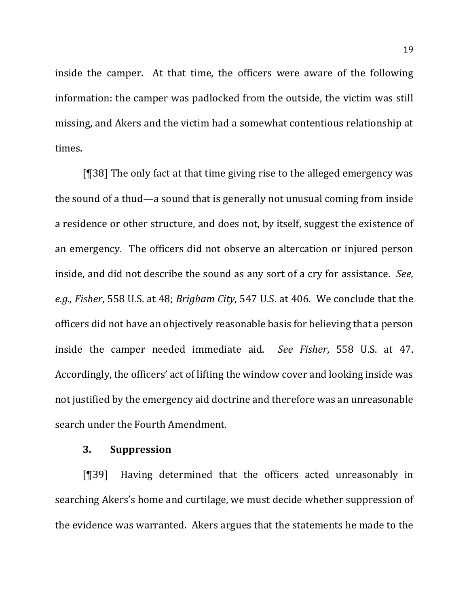inside the camper. At that time, the officers were aware of the following information: the camper was padlocked from the outside, the victim was still missing, and Akers and the victim had a somewhat contentious relationship at times.

 $[$ [38] The only fact at that time giving rise to the alleged emergency was the sound of a thud—a sound that is generally not unusual coming from inside a residence or other structure, and does not, by itself, suggest the existence of an emergency. The officers did not observe an altercation or injured person inside, and did not describe the sound as any sort of a cry for assistance. *See*, e.g., Fisher, 558 U.S. at 48; *Brigham City*, 547 U.S. at 406. We conclude that the officers did not have an objectively reasonable basis for believing that a person inside the camper needed immediate aid. See Fisher, 558 U.S. at 47. Accordingly, the officers' act of lifting the window cover and looking inside was not justified by the emergency aid doctrine and therefore was an unreasonable search under the Fourth Amendment.

#### **3. Suppression**

[¶39] Having determined that the officers acted unreasonably in searching Akers's home and curtilage, we must decide whether suppression of the evidence was warranted. Akers argues that the statements he made to the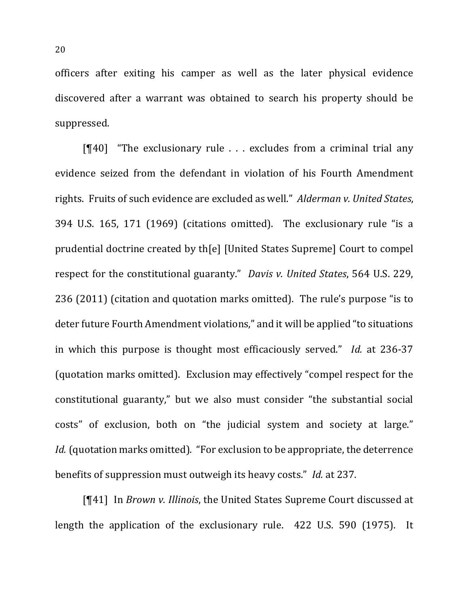officers after exiting his camper as well as the later physical evidence discovered after a warrant was obtained to search his property should be suppressed.

 $[$ [[40] "The exclusionary rule  $\ldots$  excludes from a criminal trial any evidence seized from the defendant in violation of his Fourth Amendment rights. Fruits of such evidence are excluded as well." *Alderman v. United States*, 394 U.S. 165, 171 (1969) (citations omitted). The exclusionary rule "is a prudential doctrine created by th[e] [United States Supreme] Court to compel respect for the constitutional guaranty." *Davis v. United States*, 564 U.S. 229, 236 (2011) (citation and quotation marks omitted). The rule's purpose "is to deter future Fourth Amendment violations," and it will be applied "to situations" in which this purpose is thought most efficaciously served." *Id.* at 236-37 (quotation marks omitted). Exclusion may effectively "compel respect for the constitutional guaranty," but we also must consider "the substantial social costs" of exclusion, both on "the judicial system and society at large." *Id.* (quotation marks omitted). "For exclusion to be appropriate, the deterrence benefits of suppression must outweigh its heavy costs." *Id.* at 237.

[¶41] In *Brown v. Illinois*, the United States Supreme Court discussed at length the application of the exclusionary rule.  $422$  U.S. 590 (1975). It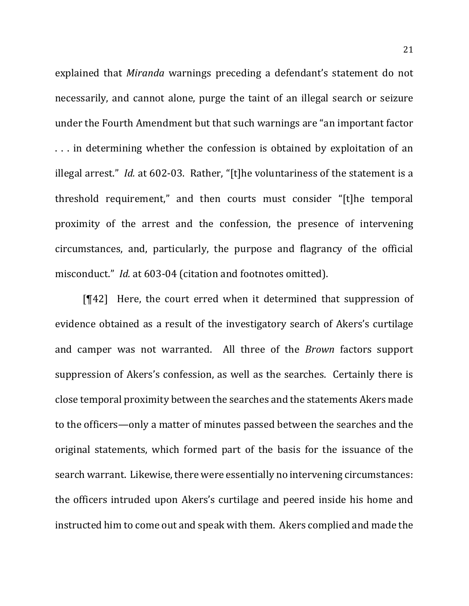explained that *Miranda* warnings preceding a defendant's statement do not necessarily, and cannot alone, purge the taint of an illegal search or seizure under the Fourth Amendment but that such warnings are "an important factor ... in determining whether the confession is obtained by exploitation of an illegal arrest." *Id.* at 602-03. Rather, "[t]he voluntariness of the statement is a threshold requirement," and then courts must consider "[t]he temporal proximity of the arrest and the confession, the presence of intervening circumstances, and, particularly, the purpose and flagrancy of the official misconduct." *Id.* at 603-04 (citation and footnotes omitted).

 $[$ [42] Here, the court erred when it determined that suppression of evidence obtained as a result of the investigatory search of Akers's curtilage and camper was not warranted. All three of the *Brown* factors support suppression of Akers's confession, as well as the searches. Certainly there is close temporal proximity between the searches and the statements Akers made to the officers—only a matter of minutes passed between the searches and the original statements, which formed part of the basis for the issuance of the search warrant. Likewise, there were essentially no intervening circumstances: the officers intruded upon Akers's curtilage and peered inside his home and instructed him to come out and speak with them. Akers complied and made the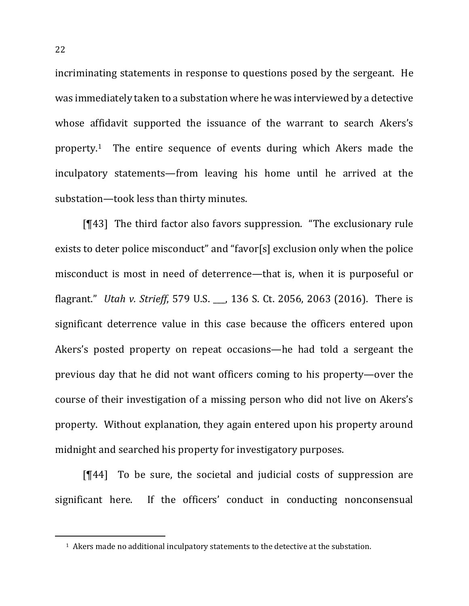incriminating statements in response to questions posed by the sergeant. He was immediately taken to a substation where he was interviewed by a detective whose affidavit supported the issuance of the warrant to search Akers's property.<sup>1</sup> The entire sequence of events during which Akers made the inculpatory statements—from leaving his home until he arrived at the substation—took less than thirty minutes.

 $[$ [43] The third factor also favors suppression. "The exclusionary rule exists to deter police misconduct" and "favor[s] exclusion only when the police misconduct is most in need of deterrence—that is, when it is purposeful or flagrant." *Utah v. Strieff*, 579 U.S. , 136 S. Ct. 2056, 2063 (2016). There is significant deterrence value in this case because the officers entered upon Akers's posted property on repeat occasions—he had told a sergeant the previous day that he did not want officers coming to his property—over the course of their investigation of a missing person who did not live on Akers's property. Without explanation, they again entered upon his property around midnight and searched his property for investigatory purposes.

 $[$ [44] To be sure, the societal and judicial costs of suppression are significant here. If the officers' conduct in conducting nonconsensual

 $\overline{a}$ 

<sup>&</sup>lt;sup>1</sup> Akers made no additional inculpatory statements to the detective at the substation.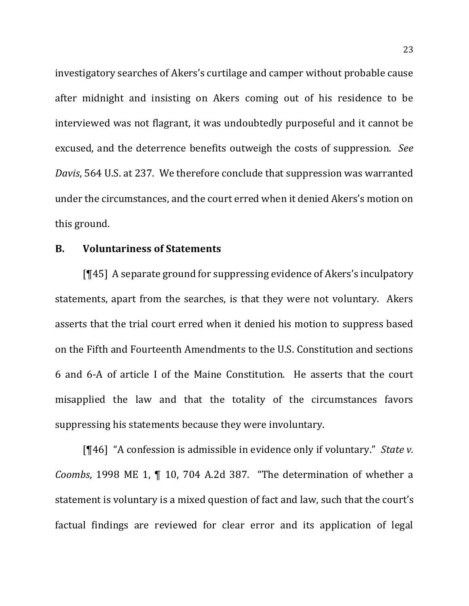investigatory searches of Akers's curtilage and camper without probable cause after midnight and insisting on Akers coming out of his residence to be interviewed was not flagrant, it was undoubtedly purposeful and it cannot be excused, and the deterrence benefits outweigh the costs of suppression. See *Davis*, 564 U.S. at 237. We therefore conclude that suppression was warranted under the circumstances, and the court erred when it denied Akers's motion on this ground.

## **B. Voluntariness of Statements**

 $[T45]$  A separate ground for suppressing evidence of Akers's inculpatory statements, apart from the searches, is that they were not voluntary. Akers asserts that the trial court erred when it denied his motion to suppress based on the Fifth and Fourteenth Amendments to the U.S. Constitution and sections 6 and 6-A of article I of the Maine Constitution. He asserts that the court misapplied the law and that the totality of the circumstances favors suppressing his statements because they were involuntary.

[¶46] "A confession is admissible in evidence only if voluntary." *State v. Coombs*, 1998 ME 1,  $\P$  10, 704 A.2d 387. "The determination of whether a statement is voluntary is a mixed question of fact and law, such that the court's factual findings are reviewed for clear error and its application of legal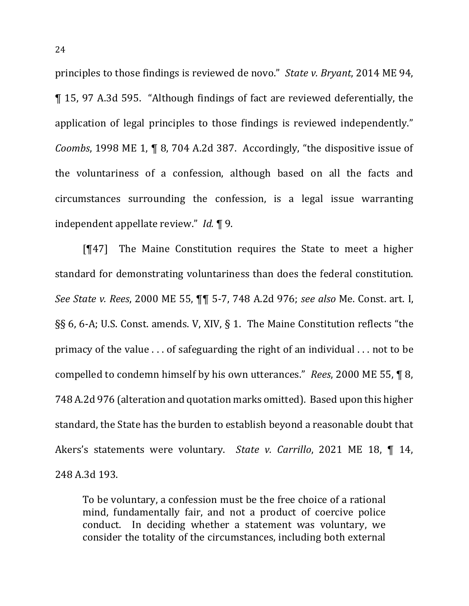principles to those findings is reviewed de novo." *State v. Bryant*, 2014 ME 94, ¶ 15, 97 A.3d 595. "Although findings of fact are reviewed deferentially, the application of legal principles to those findings is reviewed independently." *Coombs*, 1998 ME 1, ¶ 8, 704 A.2d 387. Accordingly, "the dispositive issue of the voluntariness of a confession, although based on all the facts and circumstances surrounding the confession, is a legal issue warranting independent appellate review." *Id.* 19.

 $[$ [47] The Maine Constitution requires the State to meet a higher standard for demonstrating voluntariness than does the federal constitution. *See State v. Rees*, 2000 ME 55, ¶¶ 5-7, 748 A.2d 976; *see also* Me. Const. art. I,  $\S$ § 6, 6-A; U.S. Const. amends. V, XIV, § 1. The Maine Constitution reflects "the primacy of the value  $\ldots$  of safeguarding the right of an individual  $\ldots$  not to be compelled to condemn himself by his own utterances." *Rees*, 2000 ME 55, 18, 748 A.2d 976 (alteration and quotation marks omitted). Based upon this higher standard, the State has the burden to establish beyond a reasonable doubt that Akers's statements were voluntary. State v. Carrillo, 2021 ME 18, ¶ 14, 248 A.3d 193.

To be voluntary, a confession must be the free choice of a rational mind, fundamentally fair, and not a product of coercive police conduct. In deciding whether a statement was voluntary, we consider the totality of the circumstances, including both external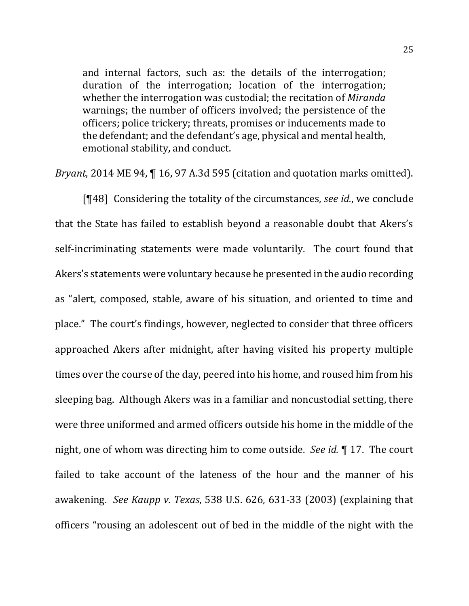and internal factors, such as: the details of the interrogation; duration of the interrogation; location of the interrogation; whether the interrogation was custodial; the recitation of *Miranda* warnings; the number of officers involved; the persistence of the officers; police trickery; threats, promises or inducements made to the defendant; and the defendant's age, physical and mental health, emotional stability, and conduct.

*Bryant*, 2014 ME 94, 16, 97 A.3d 595 (citation and quotation marks omitted).

[¶48] Considering the totality of the circumstances, *see id.*, we conclude that the State has failed to establish beyond a reasonable doubt that Akers's self-incriminating statements were made voluntarily. The court found that Akers's statements were voluntary because he presented in the audio recording as "alert, composed, stable, aware of his situation, and oriented to time and place." The court's findings, however, neglected to consider that three officers approached Akers after midnight, after having visited his property multiple times over the course of the day, peered into his home, and roused him from his sleeping bag. Although Akers was in a familiar and noncustodial setting, there were three uniformed and armed officers outside his home in the middle of the night, one of whom was directing him to come outside. See *id.* 17. The court failed to take account of the lateness of the hour and the manner of his awakening. See Kaupp v. Texas, 538 U.S. 626, 631-33 (2003) (explaining that officers "rousing an adolescent out of bed in the middle of the night with the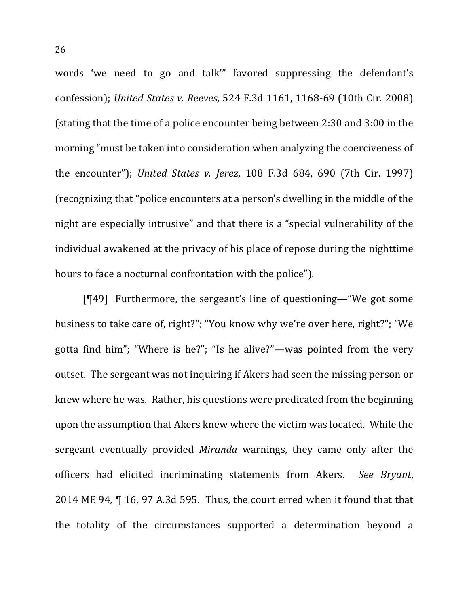words 'we need to go and talk'" favored suppressing the defendant's confession); *United States v. Reeves*, 524 F.3d 1161, 1168-69 (10th Cir. 2008) (stating that the time of a police encounter being between  $2:30$  and  $3:00$  in the morning "must be taken into consideration when analyzing the coerciveness of the encounter"); *United States v. Jerez*, 108 F.3d 684, 690 (7th Cir. 1997) (recognizing that "police encounters at a person's dwelling in the middle of the night are especially intrusive" and that there is a "special vulnerability of the individual awakened at the privacy of his place of repose during the nighttime hours to face a nocturnal confrontation with the police").

 $[T49]$  Furthermore, the sergeant's line of questioning—"We got some business to take care of, right?"; "You know why we're over here, right?"; "We gotta find him"; "Where is he?"; "Is he alive?"—was pointed from the very outset. The sergeant was not inquiring if Akers had seen the missing person or knew where he was. Rather, his questions were predicated from the beginning upon the assumption that Akers knew where the victim was located. While the sergeant eventually provided *Miranda* warnings, they came only after the officers had elicited incriminating statements from Akers. *See Bryant*, 2014 ME 94,  $\P$  16, 97 A.3d 595. Thus, the court erred when it found that that the totality of the circumstances supported a determination beyond a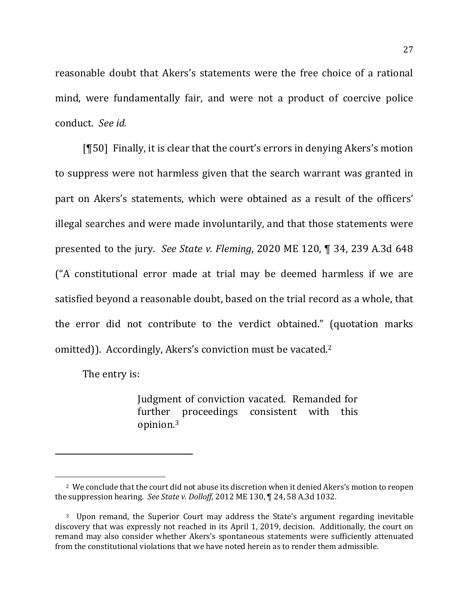reasonable doubt that Akers's statements were the free choice of a rational mind, were fundamentally fair, and were not a product of coercive police conduct. *See id.*

[¶50] Finally, it is clear that the court's errors in denying Akers's motion to suppress were not harmless given that the search warrant was granted in part on Akers's statements, which were obtained as a result of the officers' illegal searches and were made involuntarily, and that those statements were presented to the jury. See State v. Fleming, 2020 ME 120, ¶ 34, 239 A.3d 648 ("A constitutional error made at trial may be deemed harmless if we are satisfied beyond a reasonable doubt, based on the trial record as a whole, that the error did not contribute to the verdict obtained." (quotation marks omitted)). Accordingly, Akers's conviction must be vacated.<sup>2</sup>

The entry is:

 $\overline{a}$ 

Judgment of conviction vacated. Remanded for further proceedings consistent with this opinion. 3

<sup>&</sup>lt;sup>2</sup> We conclude that the court did not abuse its discretion when it denied Akers's motion to reopen the suppression hearing. See State v. Dolloff, 2012 ME 130, ¶ 24, 58 A.3d 1032.

<sup>&</sup>lt;sup>3</sup> Upon remand, the Superior Court may address the State's argument regarding inevitable discovery that was expressly not reached in its April 1, 2019, decision. Additionally, the court on remand may also consider whether Akers's spontaneous statements were sufficiently attenuated from the constitutional violations that we have noted herein as to render them admissible.